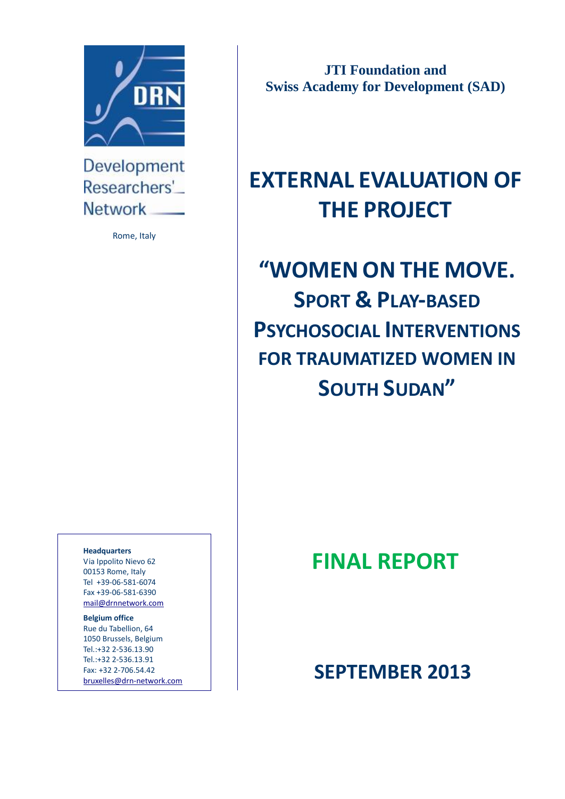

Development Researchers' **Network** 

Rome, Italy

**Headquarters**

Via Ippolito Nievo 62 00153 Rome, Italy Tel +39-06-581-6074 Fax +39-06-581-6390 [mail@drnnetwork.com](mailto:mail@drn-network.com)

**Belgium office**

Rue du Tabellion, 64 1050 Brussels, Belgium Tel.:+32 2-536.13.90 Tel.:+32 2-536.13.91 Fax: +32 2-706.54.42

**JTI Foundation and Swiss Academy for Development (SAD)**

# **EXTERNAL EVALUATION OF THE PROJECT**

# **"WOMEN ON THE MOVE. SPORT & PLAY-BASED PSYCHOSOCIAL INTERVENTIONS FOR TRAUMATIZED WOMEN IN SOUTH SUDAN"**

# **FINAL REPORT**

# Fax: +32 2-706.54.42<br><u>[bruxelles@drn-network.com](mailto:bruxelles@drn-network.com)</u> | **SEPTEMBER 2013**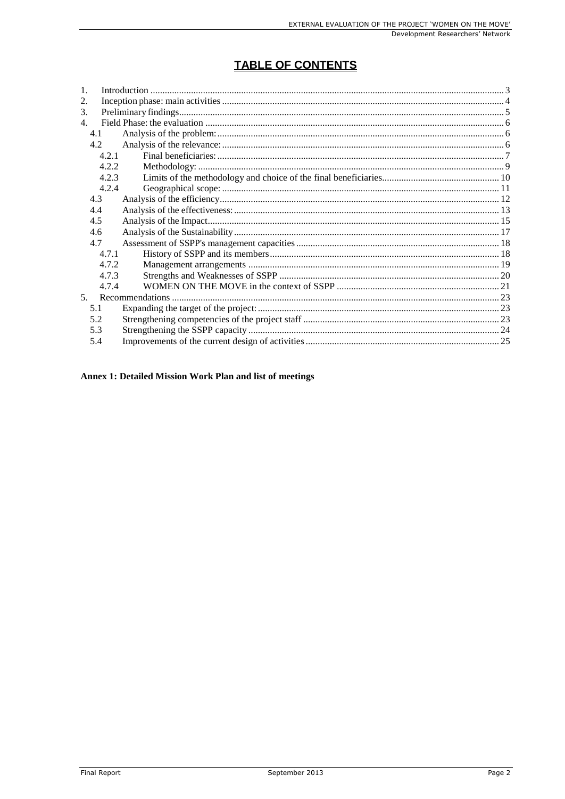## TABLE OF CONTENTS

| $\mathbf{1}$ . |       |  |
|----------------|-------|--|
| 2.             |       |  |
| 3.             |       |  |
| $\overline{4}$ |       |  |
|                | 4.1   |  |
|                | 4.2   |  |
|                | 4 2 1 |  |
|                | 4.2.2 |  |
|                | 4.2.3 |  |
|                | 4.2.4 |  |
|                | 4.3   |  |
|                | 4.4   |  |
|                | 4.5   |  |
|                | 4.6   |  |
|                | 4.7   |  |
|                | 4.7.1 |  |
|                | 4.7.2 |  |
|                | 4.7.3 |  |
|                | 4.7.4 |  |
| 5 <sub>1</sub> |       |  |
|                | 5.1   |  |
|                | 5.2   |  |
|                | 5.3   |  |
|                | 5.4   |  |
|                |       |  |

#### Annex 1: Detailed Mission Work Plan and list of meetings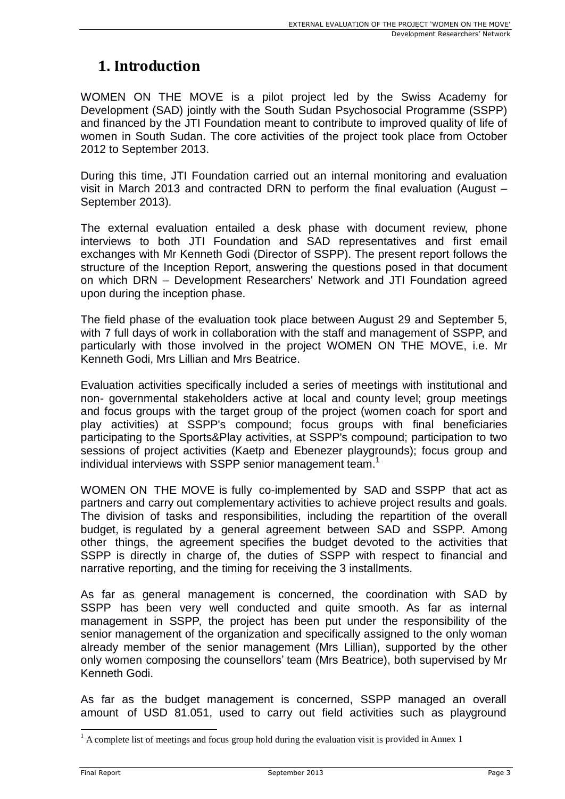## **1. Introduction**

WOMEN ON THE MOVE is a pilot project led by the Swiss Academy for Development (SAD) jointly with the South Sudan Psychosocial Programme (SSPP) and financed by the JTI Foundation meant to contribute to improved quality of life of women in South Sudan. The core activities of the project took place from October 2012 to September 2013.

During this time, JTI Foundation carried out an internal monitoring and evaluation visit in March 2013 and contracted DRN to perform the final evaluation (August – September 2013).

The external evaluation entailed a desk phase with document review, phone interviews to both JTI Foundation and SAD representatives and first email exchanges with Mr Kenneth Godi (Director of SSPP). The present report follows the structure of the Inception Report, answering the questions posed in that document on which DRN – Development Researchers' Network and JTI Foundation agreed upon during the inception phase.

The field phase of the evaluation took place between August 29 and September 5, with 7 full days of work in collaboration with the staff and management of SSPP, and particularly with those involved in the project WOMEN ON THE MOVE, i.e. Mr Kenneth Godi, Mrs Lillian and Mrs Beatrice.

Evaluation activities specifically included a series of meetings with institutional and non- governmental stakeholders active at local and county level; group meetings and focus groups with the target group of the project (women coach for sport and play activities) at SSPP's compound; focus groups with final beneficiaries participating to the Sports&Play activities, at SSPP's compound; participation to two sessions of project activities (Kaetp and Ebenezer playgrounds); focus group and individual interviews with SSPP senior management team.<sup>1</sup>

WOMEN ON THE MOVE is fully co-implemented by SAD and SSPP that act as partners and carry out complementary activities to achieve project results and goals. The division of tasks and responsibilities, including the repartition of the overall budget, is regulated by a general agreement between SAD and SSPP. Among other things, the agreement specifies the budget devoted to the activities that SSPP is directly in charge of, the duties of SSPP with respect to financial and narrative reporting, and the timing for receiving the 3 installments.

As far as general management is concerned, the coordination with SAD by SSPP has been very well conducted and quite smooth. As far as internal management in SSPP, the project has been put under the responsibility of the senior management of the organization and specifically assigned to the only woman already member of the senior management (Mrs Lillian), supported by the other only women composing the counsellors' team (Mrs Beatrice), both supervised by Mr Kenneth Godi.

As far as the budget management is concerned, SSPP managed an overall amount of USD 81.051, used to carry out field activities such as playground

 $1$  A complete list of meetings and focus group hold during the evaluation visit is provided in Annex 1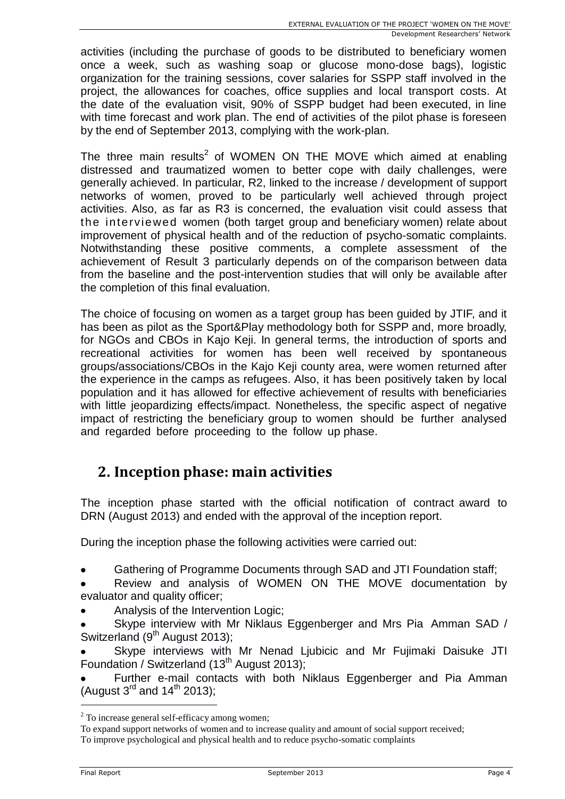activities (including the purchase of goods to be distributed to beneficiary women once a week, such as washing soap or glucose mono-dose bags), logistic organization for the training sessions, cover salaries for SSPP staff involved in the project, the allowances for coaches, office supplies and local transport costs. At the date of the evaluation visit, 90% of SSPP budget had been executed, in line with time forecast and work plan. The end of activities of the pilot phase is foreseen by the end of September 2013, complying with the work-plan.

The three main results<sup>2</sup> of WOMEN ON THE MOVE which aimed at enabling distressed and traumatized women to better cope with daily challenges, were generally achieved. In particular, R2, linked to the increase / development of support networks of women, proved to be particularly well achieved through project activities. Also, as far as R3 is concerned, the evaluation visit could assess that the interviewed women (both target group and beneficiary women) relate about improvement of physical health and of the reduction of psycho-somatic complaints. Notwithstanding these positive comments, a complete assessment of the achievement of Result 3 particularly depends on of the comparison between data from the baseline and the post-intervention studies that will only be available after the completion of this final evaluation.

The choice of focusing on women as a target group has been guided by JTIF, and it has been as pilot as the Sport&Play methodology both for SSPP and, more broadly, for NGOs and CBOs in Kajo Keji. In general terms, the introduction of sports and recreational activities for women has been well received by spontaneous groups/associations/CBOs in the Kajo Keji county area, were women returned after the experience in the camps as refugees. Also, it has been positively taken by local population and it has allowed for effective achievement of results with beneficiaries with little jeopardizing effects/impact. Nonetheless, the specific aspect of negative impact of restricting the beneficiary group to women should be further analysed and regarded before proceeding to the follow up phase.

## **2. Inception phase: main activities**

The inception phase started with the official notification of contract award to DRN (August 2013) and ended with the approval of the inception report.

During the inception phase the following activities were carried out:

- Gathering of Programme Documents through SAD and JTI Foundation staff;
- Review and analysis of WOMEN ON THE MOVE documentation by evaluator and quality officer;
- Analysis of the Intervention Logic;
- Skype interview with Mr Niklaus Eggenberger and Mrs Pia Amman SAD / Switzerland (9<sup>th</sup> August 2013);

Skype interviews with Mr Nenad Ljubicic and Mr Fujimaki Daisuke JTI Foundation / Switzerland (13<sup>th</sup> August 2013);

Further e-mail contacts with both Niklaus Eggenberger and Pia Amman (August  $3^{rd}$  and  $14^{th}$  2013);

<sup>&</sup>lt;sup>2</sup> To increase general self-efficacy among women;

To expand support networks of women and to increase quality and amount of social support received;

To improve psychological and physical health and to reduce psycho-somatic complaints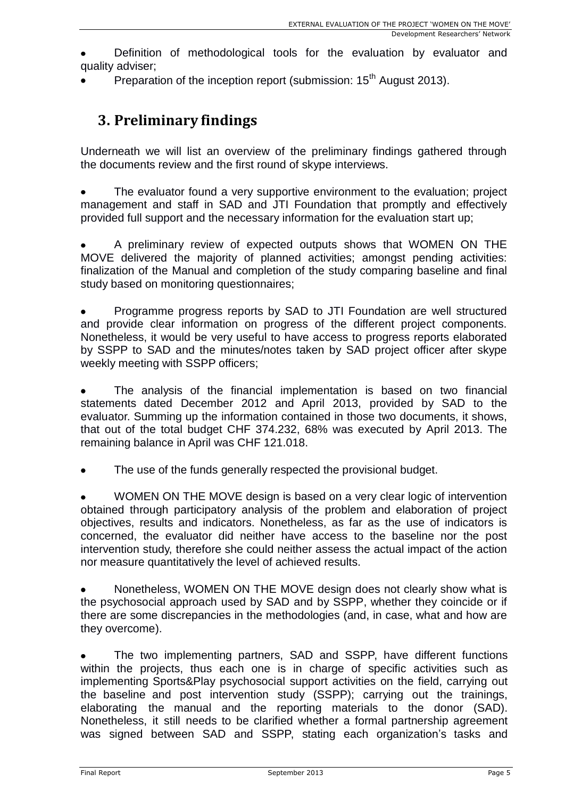Preparation of the inception report (submission: 15<sup>th</sup> August 2013).

## **3. Preliminary findings**

Underneath we will list an overview of the preliminary findings gathered through the documents review and the first round of skype interviews.

The evaluator found a very supportive environment to the evaluation; project management and staff in SAD and JTI Foundation that promptly and effectively provided full support and the necessary information for the evaluation start up;

A preliminary review of expected outputs shows that WOMEN ON THE MOVE delivered the majority of planned activities; amongst pending activities: finalization of the Manual and completion of the study comparing baseline and final study based on monitoring questionnaires;

Programme progress reports by SAD to JTI Foundation are well structured and provide clear information on progress of the different project components. Nonetheless, it would be very useful to have access to progress reports elaborated by SSPP to SAD and the minutes/notes taken by SAD project officer after skype weekly meeting with SSPP officers;

The analysis of the financial implementation is based on two financial statements dated December 2012 and April 2013, provided by SAD to the evaluator. Summing up the information contained in those two documents, it shows, that out of the total budget CHF 374.232, 68% was executed by April 2013. The remaining balance in April was CHF 121.018.

The use of the funds generally respected the provisional budget.

WOMEN ON THE MOVE design is based on a very clear logic of intervention obtained through participatory analysis of the problem and elaboration of project objectives, results and indicators. Nonetheless, as far as the use of indicators is concerned, the evaluator did neither have access to the baseline nor the post intervention study, therefore she could neither assess the actual impact of the action nor measure quantitatively the level of achieved results.

Nonetheless, WOMEN ON THE MOVE design does not clearly show what is the psychosocial approach used by SAD and by SSPP, whether they coincide or if there are some discrepancies in the methodologies (and, in case, what and how are they overcome).

The two implementing partners, SAD and SSPP, have different functions within the projects, thus each one is in charge of specific activities such as implementing Sports&Play psychosocial support activities on the field, carrying out the baseline and post intervention study (SSPP); carrying out the trainings, elaborating the manual and the reporting materials to the donor (SAD). Nonetheless, it still needs to be clarified whether a formal partnership agreement was signed between SAD and SSPP, stating each organization's tasks and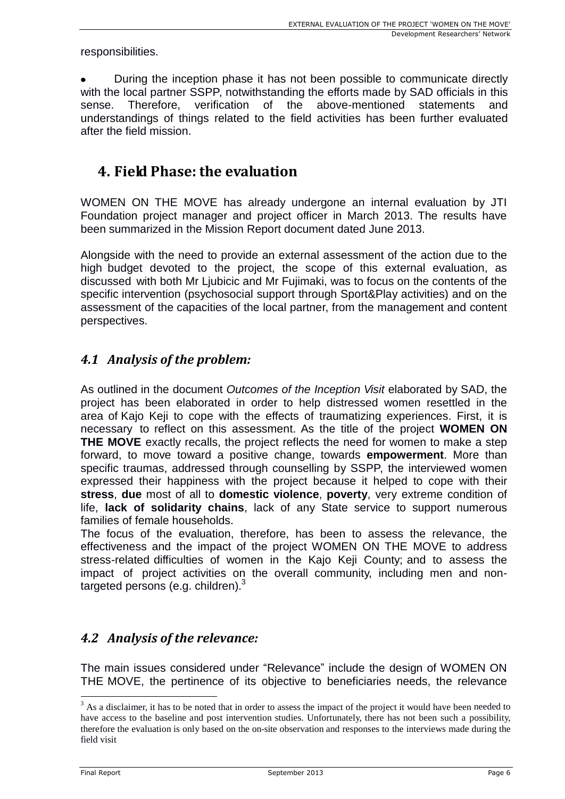responsibilities.

During the inception phase it has not been possible to communicate directly with the local partner SSPP, notwithstanding the efforts made by SAD officials in this sense. Therefore, verification of the above-mentioned statements and understandings of things related to the field activities has been further evaluated after the field mission.

## **4. Field Phase: the evaluation**

WOMEN ON THE MOVE has already undergone an internal evaluation by JTI Foundation project manager and project officer in March 2013. The results have been summarized in the Mission Report document dated June 2013.

Alongside with the need to provide an external assessment of the action due to the high budget devoted to the project, the scope of this external evaluation, as discussed with both Mr Ljubicic and Mr Fujimaki, was to focus on the contents of the specific intervention (psychosocial support through Sport&Play activities) and on the assessment of the capacities of the local partner, from the management and content perspectives.

### *4.1 Analysis of the problem:*

As outlined in the document *Outcomes of the Inception Visit* elaborated by SAD, the project has been elaborated in order to help distressed women resettled in the area of Kajo Keji to cope with the effects of traumatizing experiences. First, it is necessary to reflect on this assessment. As the title of the project **WOMEN ON THE MOVE** exactly recalls, the project reflects the need for women to make a step forward, to move toward a positive change, towards **empowerment**. More than specific traumas, addressed through counselling by SSPP, the interviewed women expressed their happiness with the project because it helped to cope with their **stress**, **due** most of all to **domestic violence**, **poverty**, very extreme condition of life, **lack of solidarity chains**, lack of any State service to support numerous families of female households.

The focus of the evaluation, therefore, has been to assess the relevance, the effectiveness and the impact of the project WOMEN ON THE MOVE to address stress-related difficulties of women in the Kajo Keji County; and to assess the impact of project activities on the overall community, including men and nontargeted persons (e.g. children).<sup>3</sup>

## *4.2 Analysis of the relevance:*

The main issues considered under "Relevance" include the design of WOMEN ON THE MOVE, the pertinence of its objective to beneficiaries needs, the relevance

 $3$  As a disclaimer, it has to be noted that in order to assess the impact of the project it would have been needed to have access to the baseline and post intervention studies. Unfortunately, there has not been such a possibility, therefore the evaluation is only based on the on-site observation and responses to the interviews made during the field visit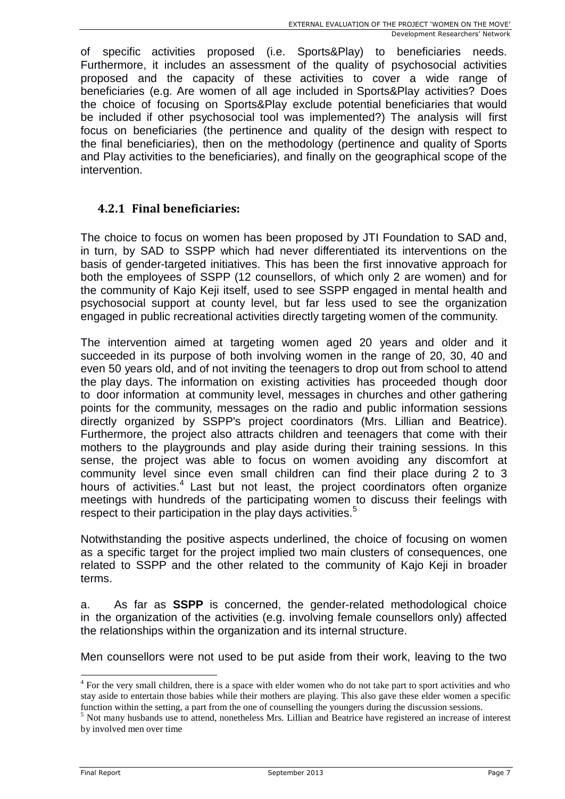of specific activities proposed (i.e. Sports&Play) to beneficiaries needs. Furthermore, it includes an assessment of the quality of psychosocial activities proposed and the capacity of these activities to cover a wide range of beneficiaries (e.g. Are women of all age included in Sports&Play activities? Does the choice of focusing on Sports&Play exclude potential beneficiaries that would be included if other psychosocial tool was implemented?) The analysis will first focus on beneficiaries (the pertinence and quality of the design with respect to the final beneficiaries), then on the methodology (pertinence and quality of Sports and Play activities to the beneficiaries), and finally on the geographical scope of the intervention.

#### **4.2.1 Final beneficiaries:**

The choice to focus on women has been proposed by JTI Foundation to SAD and, in turn, by SAD to SSPP which had never differentiated its interventions on the basis of gender-targeted initiatives. This has been the first innovative approach for both the employees of SSPP (12 counsellors, of which only 2 are women) and for the community of Kajo Keji itself, used to see SSPP engaged in mental health and psychosocial support at county level, but far less used to see the organization engaged in public recreational activities directly targeting women of the community.

The intervention aimed at targeting women aged 20 years and older and it succeeded in its purpose of both involving women in the range of 20, 30, 40 and even 50 years old, and of not inviting the teenagers to drop out from school to attend the play days. The information on existing activities has proceeded though door to door information at community level, messages in churches and other gathering points for the community, messages on the radio and public information sessions directly organized by SSPP's project coordinators (Mrs. Lillian and Beatrice). Furthermore, the project also attracts children and teenagers that come with their mothers to the playgrounds and play aside during their training sessions. In this sense, the project was able to focus on women avoiding any discomfort at community level since even small children can find their place during 2 to 3 hours of activities.<sup>4</sup> Last but not least, the project coordinators often organize meetings with hundreds of the participating women to discuss their feelings with respect to their participation in the play days activities.<sup>5</sup>

Notwithstanding the positive aspects underlined, the choice of focusing on women as a specific target for the project implied two main clusters of consequences, one related to SSPP and the other related to the community of Kajo Keji in broader terms.

a. As far as **SSPP** is concerned, the gender-related methodological choice in the organization of the activities (e.g. involving female counsellors only) affected the relationships within the organization and its internal structure.

Men counsellors were not used to be put aside from their work, leaving to the two

<sup>&</sup>lt;sup>4</sup> For the very small children, there is a space with elder women who do not take part to sport activities and who stay aside to entertain those babies while their mothers are playing. This also gave these elder women a specific function within the setting, a part from the one of counselling the youngers during the discussion sessions.

<sup>5</sup> Not many husbands use to attend, nonetheless Mrs. Lillian and Beatrice have registered an increase of interest by involved men over time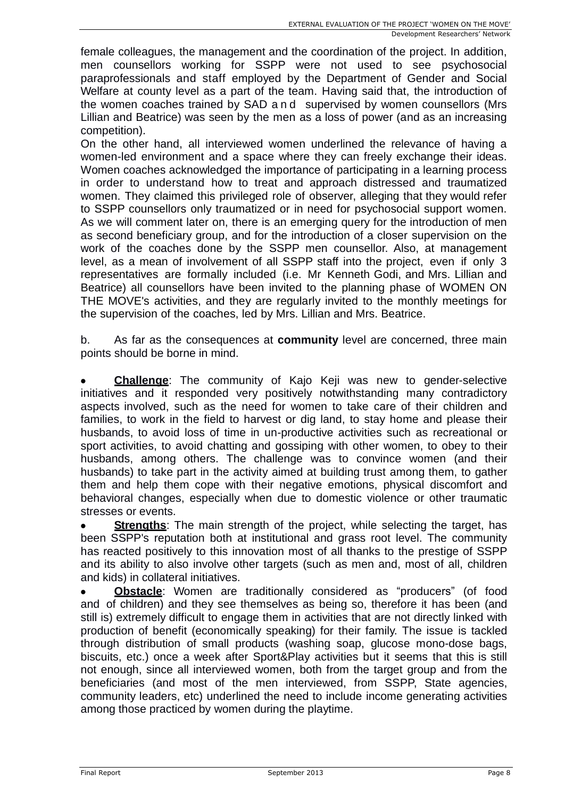female colleagues, the management and the coordination of the project. In addition, men counsellors working for SSPP were not used to see psychosocial paraprofessionals and staff employed by the Department of Gender and Social Welfare at county level as a part of the team. Having said that, the introduction of the women coaches trained by SAD a n d supervised by women counsellors (Mrs Lillian and Beatrice) was seen by the men as a loss of power (and as an increasing competition).

On the other hand, all interviewed women underlined the relevance of having a women-led environment and a space where they can freely exchange their ideas. Women coaches acknowledged the importance of participating in a learning process in order to understand how to treat and approach distressed and traumatized women. They claimed this privileged role of observer, alleging that they would refer to SSPP counsellors only traumatized or in need for psychosocial support women. As we will comment later on, there is an emerging query for the introduction of men as second beneficiary group, and for the introduction of a closer supervision on the work of the coaches done by the SSPP men counsellor. Also, at management level, as a mean of involvement of all SSPP staff into the project, even if only 3 representatives are formally included (i.e. Mr Kenneth Godi, and Mrs. Lillian and Beatrice) all counsellors have been invited to the planning phase of WOMEN ON THE MOVE's activities, and they are regularly invited to the monthly meetings for the supervision of the coaches, led by Mrs. Lillian and Mrs. Beatrice.

b. As far as the consequences at **community** level are concerned, three main points should be borne in mind.

**Challenge**: The community of Kajo Keji was new to gender-selective initiatives and it responded very positively notwithstanding many contradictory aspects involved, such as the need for women to take care of their children and families, to work in the field to harvest or dig land, to stay home and please their husbands, to avoid loss of time in un-productive activities such as recreational or sport activities, to avoid chatting and gossiping with other women, to obey to their husbands, among others. The challenge was to convince women (and their husbands) to take part in the activity aimed at building trust among them, to gather them and help them cope with their negative emotions, physical discomfort and behavioral changes, especially when due to domestic violence or other traumatic stresses or events.

**Strengths**: The main strength of the project, while selecting the target, has been SSPP's reputation both at institutional and grass root level. The community has reacted positively to this innovation most of all thanks to the prestige of SSPP and its ability to also involve other targets (such as men and, most of all, children and kids) in collateral initiatives.

**Obstacle**: Women are traditionally considered as "producers" (of food and of children) and they see themselves as being so, therefore it has been (and still is) extremely difficult to engage them in activities that are not directly linked with production of benefit (economically speaking) for their family. The issue is tackled through distribution of small products (washing soap, glucose mono-dose bags, biscuits, etc.) once a week after Sport&Play activities but it seems that this is still not enough, since all interviewed women, both from the target group and from the beneficiaries (and most of the men interviewed, from SSPP, State agencies, community leaders, etc) underlined the need to include income generating activities among those practiced by women during the playtime.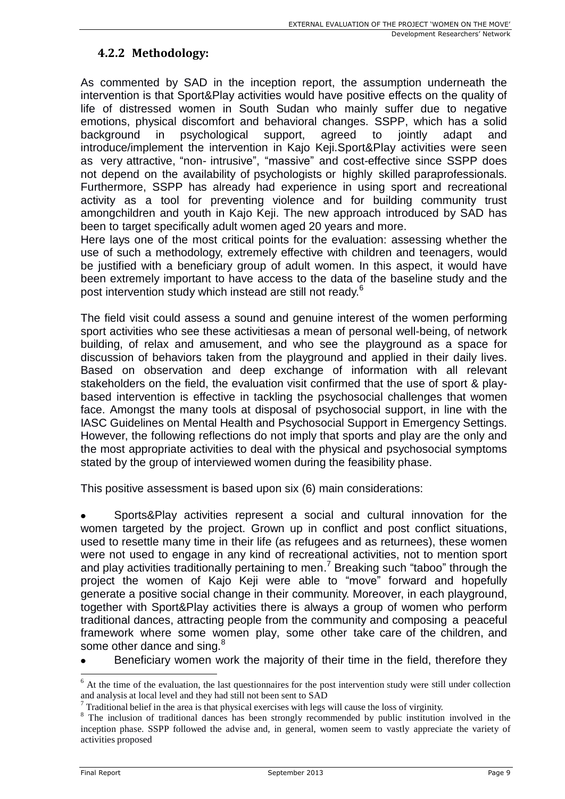### **4.2.2 Methodology:**

As commented by SAD in the inception report, the assumption underneath the intervention is that Sport&Play activities would have positive effects on the quality of life of distressed women in South Sudan who mainly suffer due to negative emotions, physical discomfort and behavioral changes. SSPP, which has a solid background in psychological support, agreed to jointly adapt and introduce/implement the intervention in Kajo Keji.Sport&Play activities were seen as very attractive, "non- intrusive", "massive" and cost-effective since SSPP does not depend on the availability of psychologists or highly skilled paraprofessionals. Furthermore, SSPP has already had experience in using sport and recreational activity as a tool for preventing violence and for building community trust amongchildren and youth in Kajo Keji. The new approach introduced by SAD has been to target specifically adult women aged 20 years and more.

Here lays one of the most critical points for the evaluation: assessing whether the use of such a methodology, extremely effective with children and teenagers, would be justified with a beneficiary group of adult women. In this aspect, it would have been extremely important to have access to the data of the baseline study and the post intervention study which instead are still not ready.<sup>6</sup>

The field visit could assess a sound and genuine interest of the women performing sport activities who see these activitiesas a mean of personal well-being, of network building, of relax and amusement, and who see the playground as a space for discussion of behaviors taken from the playground and applied in their daily lives. Based on observation and deep exchange of information with all relevant stakeholders on the field, the evaluation visit confirmed that the use of sport & playbased intervention is effective in tackling the psychosocial challenges that women face. Amongst the many tools at disposal of psychosocial support, in line with the IASC Guidelines on Mental Health and Psychosocial Support in Emergency Settings. However, the following reflections do not imply that sports and play are the only and the most appropriate activities to deal with the physical and psychosocial symptoms stated by the group of interviewed women during the feasibility phase.

This positive assessment is based upon six (6) main considerations:

Sports&Play activities represent a social and cultural innovation for the women targeted by the project. Grown up in conflict and post conflict situations, used to resettle many time in their life (as refugees and as returnees), these women were not used to engage in any kind of recreational activities, not to mention sport and play activities traditionally pertaining to men.<sup>7</sup> Breaking such "taboo" through the project the women of Kajo Keji were able to "move" forward and hopefully generate a positive social change in their community. Moreover, in each playground, together with Sport&Play activities there is always a group of women who perform traditional dances, attracting people from the community and composing a peaceful framework where some women play, some other take care of the children, and some other dance and sing. $8$ 

Beneficiary women work the majority of their time in the field, therefore they

 $6$  At the time of the evaluation, the last questionnaires for the post intervention study were still under collection and analysis at local level and they had still not been sent to SAD

 $<sup>7</sup>$  Traditional belief in the area is that physical exercises with legs will cause the loss of virginity.</sup>

<sup>&</sup>lt;sup>8</sup> The inclusion of traditional dances has been strongly recommended by public institution involved in the inception phase. SSPP followed the advise and, in general, women seem to vastly appreciate the variety of activities proposed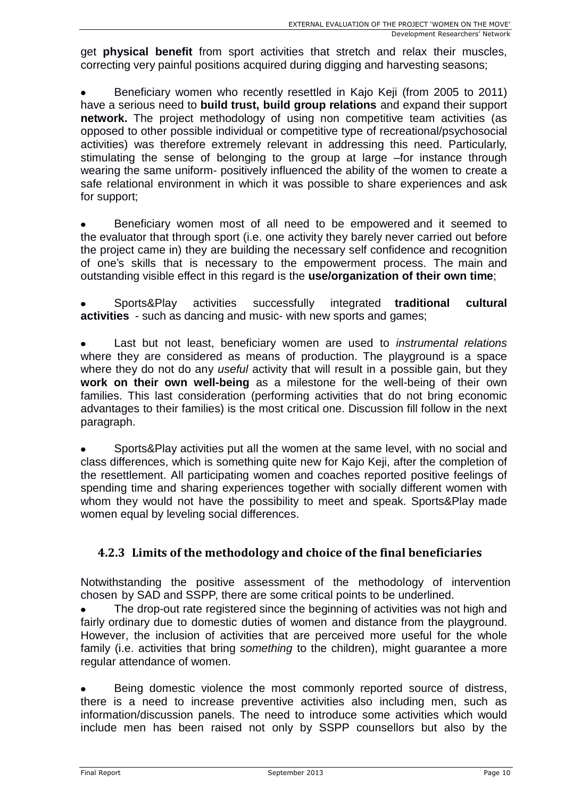get **physical benefit** from sport activities that stretch and relax their muscles, correcting very painful positions acquired during digging and harvesting seasons;

Beneficiary women who recently resettled in Kajo Keji (from 2005 to 2011) have a serious need to **build trust, build group relations** and expand their support **network.** The project methodology of using non competitive team activities (as opposed to other possible individual or competitive type of recreational/psychosocial activities) was therefore extremely relevant in addressing this need. Particularly, stimulating the sense of belonging to the group at large –for instance through wearing the same uniform- positively influenced the ability of the women to create a safe relational environment in which it was possible to share experiences and ask for support;

Beneficiary women most of all need to be empowered and it seemed to the evaluator that through sport (i.e. one activity they barely never carried out before the project came in) they are building the necessary self confidence and recognition of one's skills that is necessary to the empowerment process. The main and outstanding visible effect in this regard is the **use/organization of their own time**;

Sports&Play activities successfully integrated **traditional cultural activities** - such as dancing and music- with new sports and games;

Last but not least, beneficiary women are used to *instrumental relations* where they are considered as means of production. The playground is a space where they do not do any *useful* activity that will result in a possible gain, but they **work on their own well-being** as a milestone for the well-being of their own families. This last consideration (performing activities that do not bring economic advantages to their families) is the most critical one. Discussion fill follow in the next paragraph.

Sports&Play activities put all the women at the same level, with no social and class differences, which is something quite new for Kajo Keji, after the completion of the resettlement. All participating women and coaches reported positive feelings of spending time and sharing experiences together with socially different women with whom they would not have the possibility to meet and speak. Sports&Play made women equal by leveling social differences.

#### **4.2.3 Limits of the methodology and choice of the final beneficiaries**

Notwithstanding the positive assessment of the methodology of intervention chosen by SAD and SSPP, there are some critical points to be underlined.

The drop-out rate registered since the beginning of activities was not high and fairly ordinary due to domestic duties of women and distance from the playground. However, the inclusion of activities that are perceived more useful for the whole family (i.e. activities that bring *something* to the children), might guarantee a more regular attendance of women.

Being domestic violence the most commonly reported source of distress, there is a need to increase preventive activities also including men, such as information/discussion panels. The need to introduce some activities which would include men has been raised not only by SSPP counsellors but also by the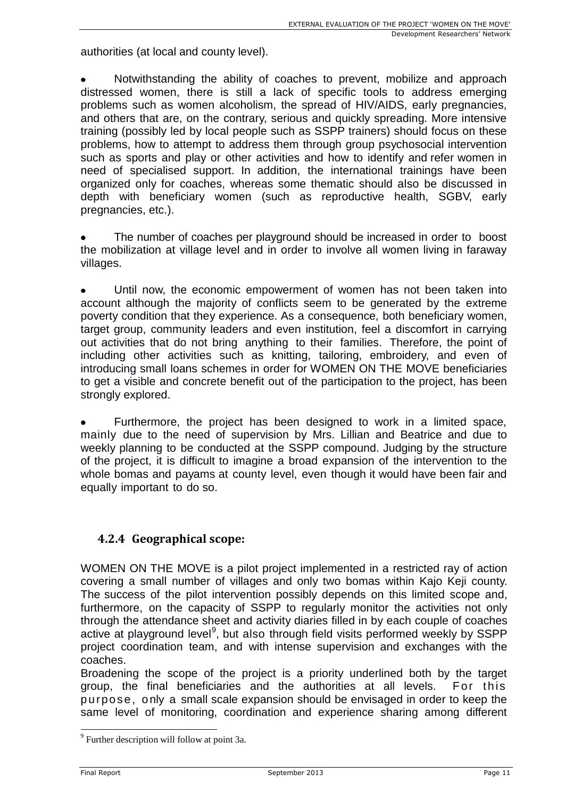authorities (at local and county level).

Notwithstanding the ability of coaches to prevent, mobilize and approach distressed women, there is still a lack of specific tools to address emerging problems such as women alcoholism, the spread of HIV/AIDS, early pregnancies, and others that are, on the contrary, serious and quickly spreading. More intensive training (possibly led by local people such as SSPP trainers) should focus on these problems, how to attempt to address them through group psychosocial intervention such as sports and play or other activities and how to identify and refer women in need of specialised support. In addition, the international trainings have been organized only for coaches, whereas some thematic should also be discussed in depth with beneficiary women (such as reproductive health, SGBV, early pregnancies, etc.).

The number of coaches per playground should be increased in order to boost the mobilization at village level and in order to involve all women living in faraway villages.

Until now, the economic empowerment of women has not been taken into account although the majority of conflicts seem to be generated by the extreme poverty condition that they experience. As a consequence, both beneficiary women, target group, community leaders and even institution, feel a discomfort in carrying out activities that do not bring anything to their families. Therefore, the point of including other activities such as knitting, tailoring, embroidery, and even of introducing small loans schemes in order for WOMEN ON THE MOVE beneficiaries to get a visible and concrete benefit out of the participation to the project, has been strongly explored.

Furthermore, the project has been designed to work in a limited space, mainly due to the need of supervision by Mrs. Lillian and Beatrice and due to weekly planning to be conducted at the SSPP compound. Judging by the structure of the project, it is difficult to imagine a broad expansion of the intervention to the whole bomas and payams at county level, even though it would have been fair and equally important to do so.

#### **4.2.4 Geographical scope:**

WOMEN ON THE MOVE is a pilot project implemented in a restricted ray of action covering a small number of villages and only two bomas within Kajo Keji county. The success of the pilot intervention possibly depends on this limited scope and, furthermore, on the capacity of SSPP to regularly monitor the activities not only through the attendance sheet and activity diaries filled in by each couple of coaches active at playground level<sup>9</sup>, but also through field visits performed weekly by SSPP project coordination team, and with intense supervision and exchanges with the coaches.

Broadening the scope of the project is a priority underlined both by the target group, the final beneficiaries and the authorities at all levels. For this purpose, only a small scale expansion should be envisaged in order to keep the same level of monitoring, coordination and experience sharing among different

<sup>&</sup>lt;sup>9</sup> Further description will follow at point 3a.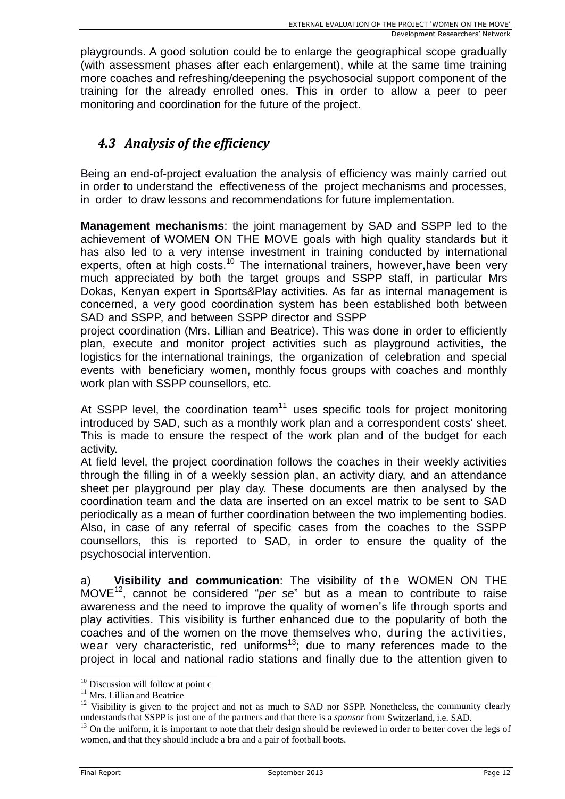playgrounds. A good solution could be to enlarge the geographical scope gradually (with assessment phases after each enlargement), while at the same time training more coaches and refreshing/deepening the psychosocial support component of the training for the already enrolled ones. This in order to allow a peer to peer monitoring and coordination for the future of the project.

## *4.3 Analysis of the efficiency*

Being an end-of-project evaluation the analysis of efficiency was mainly carried out in order to understand the effectiveness of the project mechanisms and processes, in order to draw lessons and recommendations for future implementation.

**Management mechanisms**: the joint management by SAD and SSPP led to the achievement of WOMEN ON THE MOVE goals with high quality standards but it has also led to a very intense investment in training conducted by international experts, often at high costs.<sup>10</sup> The international trainers, however, have been very much appreciated by both the target groups and SSPP staff, in particular Mrs Dokas, Kenyan expert in Sports&Play activities. As far as internal management is concerned, a very good coordination system has been established both between SAD and SSPP, and between SSPP director and SSPP

project coordination (Mrs. Lillian and Beatrice). This was done in order to efficiently plan, execute and monitor project activities such as playground activities, the logistics for the international trainings, the organization of celebration and special events with beneficiary women, monthly focus groups with coaches and monthly work plan with SSPP counsellors, etc.

At SSPP level, the coordination team<sup>11</sup> uses specific tools for project monitoring introduced by SAD, such as a monthly work plan and a correspondent costs' sheet. This is made to ensure the respect of the work plan and of the budget for each activity.

At field level, the project coordination follows the coaches in their weekly activities through the filling in of a weekly session plan, an activity diary, and an attendance sheet per playground per play day. These documents are then analysed by the coordination team and the data are inserted on an excel matrix to be sent to SAD periodically as a mean of further coordination between the two implementing bodies. Also, in case of any referral of specific cases from the coaches to the SSPP counsellors, this is reported to SAD, in order to ensure the quality of the psychosocial intervention.

a) **Visibility and communication**: The visibility of the WOMEN ON THE MOVE 12 , cannot be considered "*per se*" but as a mean to contribute to raise awareness and the need to improve the quality of women's life through sports and play activities. This visibility is further enhanced due to the popularity of both the coaches and of the women on the move themselves who, during the activities, wear very characteristic, red uniforms<sup>13</sup>; due to many references made to the project in local and national radio stations and finally due to the attention given to

<sup>&</sup>lt;sup>10</sup> Discussion will follow at point c

<sup>&</sup>lt;sup>11</sup> Mrs. Lillian and Beatrice

 $12$  Visibility is given to the project and not as much to SAD nor SSPP. Nonetheless, the community clearly understands that SSPP is just one of the partners and that there is a *sponsor* from Switzerland, i.e. SAD.

 $13$  On the uniform, it is important to note that their design should be reviewed in order to better cover the legs of women, and that they should include a bra and a pair of football boots.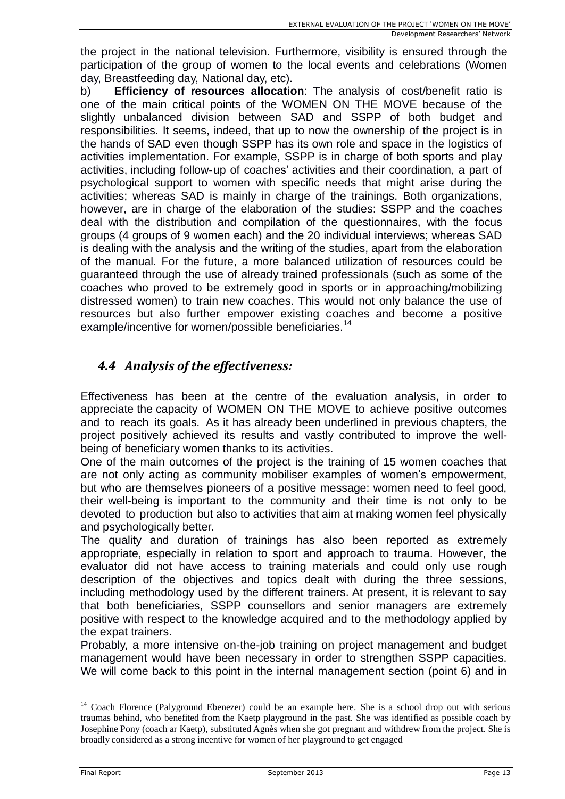the project in the national television. Furthermore, visibility is ensured through the participation of the group of women to the local events and celebrations (Women day, Breastfeeding day, National day, etc).

b) **Efficiency of resources allocation**: The analysis of cost/benefit ratio is one of the main critical points of the WOMEN ON THE MOVE because of the slightly unbalanced division between SAD and SSPP of both budget and responsibilities. It seems, indeed, that up to now the ownership of the project is in the hands of SAD even though SSPP has its own role and space in the logistics of activities implementation. For example, SSPP is in charge of both sports and play activities, including follow-up of coaches' activities and their coordination, a part of psychological support to women with specific needs that might arise during the activities; whereas SAD is mainly in charge of the trainings. Both organizations, however, are in charge of the elaboration of the studies: SSPP and the coaches deal with the distribution and compilation of the questionnaires, with the focus groups (4 groups of 9 women each) and the 20 individual interviews; whereas SAD is dealing with the analysis and the writing of the studies, apart from the elaboration of the manual. For the future, a more balanced utilization of resources could be guaranteed through the use of already trained professionals (such as some of the coaches who proved to be extremely good in sports or in approaching/mobilizing distressed women) to train new coaches. This would not only balance the use of resources but also further empower existing coaches and become a positive example/incentive for women/possible beneficiaries.<sup>14</sup>

## *4.4 Analysis of the effectiveness:*

Effectiveness has been at the centre of the evaluation analysis, in order to appreciate the capacity of WOMEN ON THE MOVE to achieve positive outcomes and to reach its goals. As it has already been underlined in previous chapters, the project positively achieved its results and vastly contributed to improve the wellbeing of beneficiary women thanks to its activities.

One of the main outcomes of the project is the training of 15 women coaches that are not only acting as community mobiliser examples of women's empowerment, but who are themselves pioneers of a positive message: women need to feel good, their well-being is important to the community and their time is not only to be devoted to production but also to activities that aim at making women feel physically and psychologically better.

The quality and duration of trainings has also been reported as extremely appropriate, especially in relation to sport and approach to trauma. However, the evaluator did not have access to training materials and could only use rough description of the objectives and topics dealt with during the three sessions, including methodology used by the different trainers. At present, it is relevant to say that both beneficiaries, SSPP counsellors and senior managers are extremely positive with respect to the knowledge acquired and to the methodology applied by the expat trainers.

Probably, a more intensive on-the-job training on project management and budget management would have been necessary in order to strengthen SSPP capacities. We will come back to this point in the internal management section (point 6) and in

<sup>&</sup>lt;sup>14</sup> Coach Florence (Palyground Ebenezer) could be an example here. She is a school drop out with serious traumas behind, who benefited from the Kaetp playground in the past. She was identified as possible coach by Josephine Pony (coach ar Kaetp), substituted Agnès when she got pregnant and withdrew from the project. She is broadly considered as a strong incentive for women of her playground to get engaged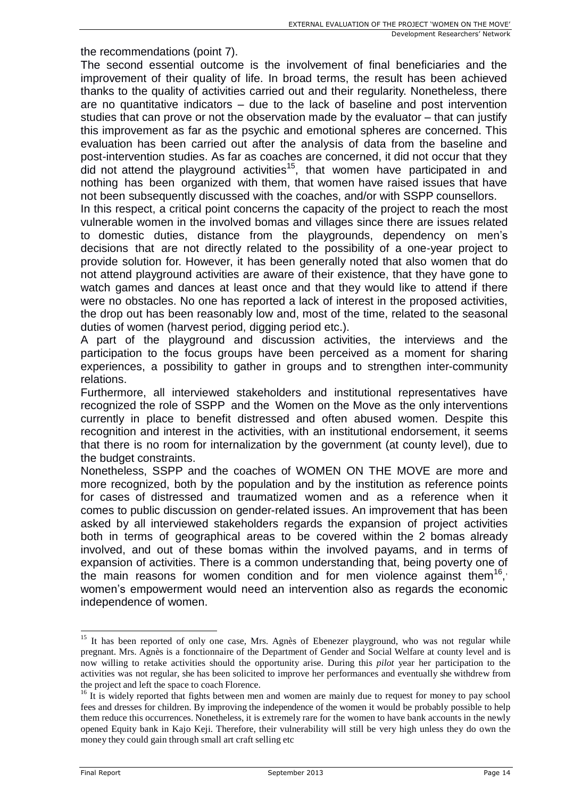the recommendations (point 7).

The second essential outcome is the involvement of final beneficiaries and the improvement of their quality of life. In broad terms, the result has been achieved thanks to the quality of activities carried out and their regularity. Nonetheless, there are no quantitative indicators – due to the lack of baseline and post intervention studies that can prove or not the observation made by the evaluator – that can justify this improvement as far as the psychic and emotional spheres are concerned. This evaluation has been carried out after the analysis of data from the baseline and post-intervention studies. As far as coaches are concerned, it did not occur that they did not attend the playground activities<sup>15</sup>, that women have participated in and nothing has been organized with them, that women have raised issues that have not been subsequently discussed with the coaches, and/or with SSPP counsellors.

In this respect, a critical point concerns the capacity of the project to reach the most vulnerable women in the involved bomas and villages since there are issues related to domestic duties, distance from the playgrounds, dependency on men's decisions that are not directly related to the possibility of a one-year project to provide solution for. However, it has been generally noted that also women that do not attend playground activities are aware of their existence, that they have gone to watch games and dances at least once and that they would like to attend if there were no obstacles. No one has reported a lack of interest in the proposed activities, the drop out has been reasonably low and, most of the time, related to the seasonal duties of women (harvest period, digging period etc.).

A part of the playground and discussion activities, the interviews and the participation to the focus groups have been perceived as a moment for sharing experiences, a possibility to gather in groups and to strengthen inter-community relations.

Furthermore, all interviewed stakeholders and institutional representatives have recognized the role of SSPP and the Women on the Move as the only interventions currently in place to benefit distressed and often abused women. Despite this recognition and interest in the activities, with an institutional endorsement, it seems that there is no room for internalization by the government (at county level), due to the budget constraints.

Nonetheless, SSPP and the coaches of WOMEN ON THE MOVE are more and more recognized, both by the population and by the institution as reference points for cases of distressed and traumatized women and as a reference when it comes to public discussion on gender-related issues. An improvement that has been asked by all interviewed stakeholders regards the expansion of project activities both in terms of geographical areas to be covered within the 2 bomas already involved, and out of these bomas within the involved payams, and in terms of expansion of activities. There is a common understanding that, being poverty one of the main reasons for women condition and for men violence against them<sup>16</sup>, women's empowerment would need an intervention also as regards the economic independence of women.

<sup>&</sup>lt;sup>15</sup> It has been reported of only one case, Mrs. Agnès of Ebenezer playground, who was not regular while pregnant. Mrs. Agnès is a fonctionnaire of the Department of Gender and Social Welfare at county level and is now willing to retake activities should the opportunity arise. During this *pilot* year her participation to the activities was not regular, she has been solicited to improve her performances and eventually she withdrew from the project and left the space to coach Florence.

<sup>&</sup>lt;sup>16</sup> It is widely reported that fights between men and women are mainly due to request for money to pay school fees and dresses for children. By improving the independence of the women it would be probably possible to help them reduce this occurrences. Nonetheless, it is extremely rare for the women to have bank accounts in the newly opened Equity bank in Kajo Keji. Therefore, their vulnerability will still be very high unless they do own the money they could gain through small art craft selling etc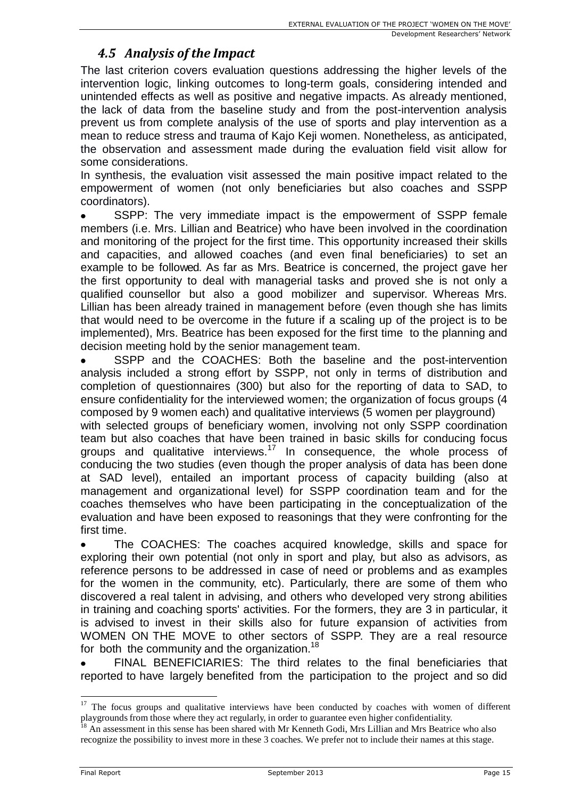## *4.5 Analysis of the Impact*

The last criterion covers evaluation questions addressing the higher levels of the intervention logic, linking outcomes to long-term goals, considering intended and unintended effects as well as positive and negative impacts. As already mentioned, the lack of data from the baseline study and from the post-intervention analysis prevent us from complete analysis of the use of sports and play intervention as a mean to reduce stress and trauma of Kajo Keji women. Nonetheless, as anticipated, the observation and assessment made during the evaluation field visit allow for some considerations.

In synthesis, the evaluation visit assessed the main positive impact related to the empowerment of women (not only beneficiaries but also coaches and SSPP coordinators).

SSPP: The very immediate impact is the empowerment of SSPP female members (i.e. Mrs. Lillian and Beatrice) who have been involved in the coordination and monitoring of the project for the first time. This opportunity increased their skills and capacities, and allowed coaches (and even final beneficiaries) to set an example to be followed. As far as Mrs. Beatrice is concerned, the project gave her the first opportunity to deal with managerial tasks and proved she is not only a qualified counsellor but also a good mobilizer and supervisor. Whereas Mrs. Lillian has been already trained in management before (even though she has limits that would need to be overcome in the future if a scaling up of the project is to be implemented), Mrs. Beatrice has been exposed for the first time to the planning and decision meeting hold by the senior management team.

SSPP and the COACHES: Both the baseline and the post-intervention analysis included a strong effort by SSPP, not only in terms of distribution and completion of questionnaires (300) but also for the reporting of data to SAD, to ensure confidentiality for the interviewed women; the organization of focus groups (4 composed by 9 women each) and qualitative interviews (5 women per playground)

with selected groups of beneficiary women, involving not only SSPP coordination team but also coaches that have been trained in basic skills for conducing focus groups and qualitative interviews.<sup>17</sup> In consequence, the whole process of conducing the two studies (even though the proper analysis of data has been done at SAD level), entailed an important process of capacity building (also at management and organizational level) for SSPP coordination team and for the coaches themselves who have been participating in the conceptualization of the evaluation and have been exposed to reasonings that they were confronting for the first time.

The COACHES: The coaches acquired knowledge, skills and space for exploring their own potential (not only in sport and play, but also as advisors, as reference persons to be addressed in case of need or problems and as examples for the women in the community, etc). Particularly, there are some of them who discovered a real talent in advising, and others who developed very strong abilities in training and coaching sports' activities. For the formers, they are 3 in particular, it is advised to invest in their skills also for future expansion of activities from WOMEN ON THE MOVE to other sectors of SSPP. They are a real resource for both the community and the organization.<sup>18</sup>

FINAL BENEFICIARIES: The third relates to the final beneficiaries that reported to have largely benefited from the participation to the project and so did

 $17$  The focus groups and qualitative interviews have been conducted by coaches with women of different playgrounds from those where they act regularly, in order to guarantee even higher confidentiality.

<sup>&</sup>lt;sup>18</sup> An assessment in this sense has been shared with Mr Kenneth Godi, Mrs Lillian and Mrs Beatrice who also recognize the possibility to invest more in these 3 coaches. We prefer not to include their names at this stage.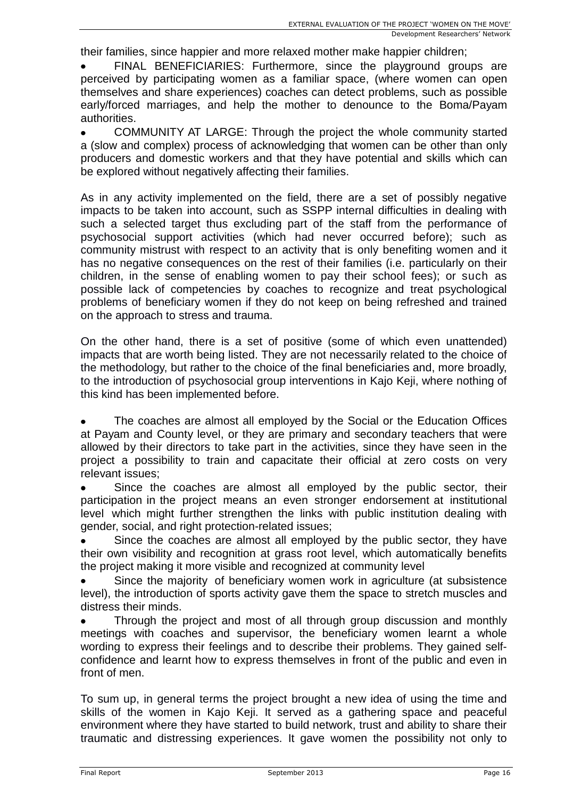their families, since happier and more relaxed mother make happier children;

FINAL BENEFICIARIES: Furthermore, since the playground groups are perceived by participating women as a familiar space, (where women can open themselves and share experiences) coaches can detect problems, such as possible early/forced marriages, and help the mother to denounce to the Boma/Payam authorities.

COMMUNITY AT LARGE: Through the project the whole community started a (slow and complex) process of acknowledging that women can be other than only producers and domestic workers and that they have potential and skills which can be explored without negatively affecting their families.

As in any activity implemented on the field, there are a set of possibly negative impacts to be taken into account, such as SSPP internal difficulties in dealing with such a selected target thus excluding part of the staff from the performance of psychosocial support activities (which had never occurred before); such as community mistrust with respect to an activity that is only benefiting women and it has no negative consequences on the rest of their families (i.e. particularly on their children, in the sense of enabling women to pay their school fees); or such as possible lack of competencies by coaches to recognize and treat psychological problems of beneficiary women if they do not keep on being refreshed and trained on the approach to stress and trauma.

On the other hand, there is a set of positive (some of which even unattended) impacts that are worth being listed. They are not necessarily related to the choice of the methodology, but rather to the choice of the final beneficiaries and, more broadly, to the introduction of psychosocial group interventions in Kajo Keji, where nothing of this kind has been implemented before.

The coaches are almost all employed by the Social or the Education Offices at Payam and County level, or they are primary and secondary teachers that were allowed by their directors to take part in the activities, since they have seen in the project a possibility to train and capacitate their official at zero costs on very relevant issues;

Since the coaches are almost all employed by the public sector, their participation in the project means an even stronger endorsement at institutional level which might further strengthen the links with public institution dealing with gender, social, and right protection-related issues;

Since the coaches are almost all employed by the public sector, they have their own visibility and recognition at grass root level, which automatically benefits the project making it more visible and recognized at community level

Since the majority of beneficiary women work in agriculture (at subsistence level), the introduction of sports activity gave them the space to stretch muscles and distress their minds.

Through the project and most of all through group discussion and monthly meetings with coaches and supervisor, the beneficiary women learnt a whole wording to express their feelings and to describe their problems. They gained selfconfidence and learnt how to express themselves in front of the public and even in front of men.

To sum up, in general terms the project brought a new idea of using the time and skills of the women in Kajo Keji. It served as a gathering space and peaceful environment where they have started to build network, trust and ability to share their traumatic and distressing experiences. It gave women the possibility not only to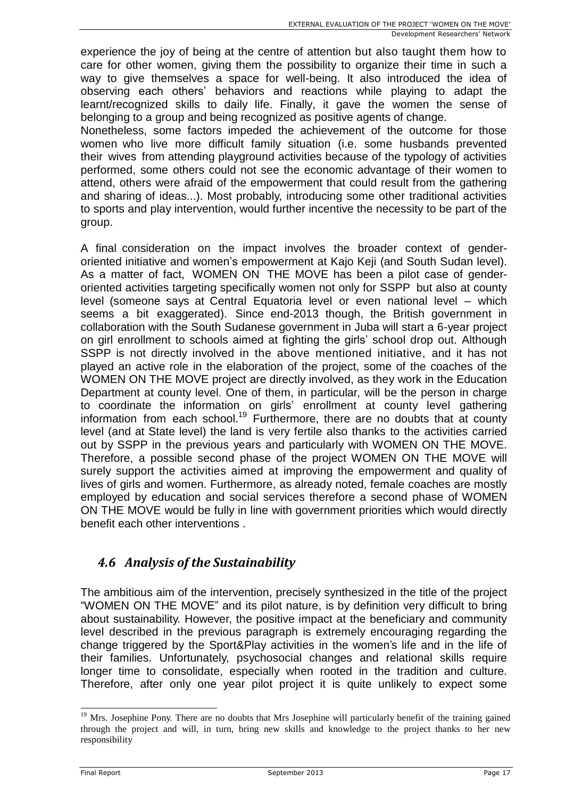experience the joy of being at the centre of attention but also taught them how to care for other women, giving them the possibility to organize their time in such a way to give themselves a space for well-being. It also introduced the idea of observing each others' behaviors and reactions while playing to adapt the learnt/recognized skills to daily life. Finally, it gave the women the sense of belonging to a group and being recognized as positive agents of change.

Nonetheless, some factors impeded the achievement of the outcome for those women who live more difficult family situation (i.e. some husbands prevented their wives from attending playground activities because of the typology of activities performed, some others could not see the economic advantage of their women to attend, others were afraid of the empowerment that could result from the gathering and sharing of ideas...). Most probably, introducing some other traditional activities to sports and play intervention, would further incentive the necessity to be part of the group.

A final consideration on the impact involves the broader context of genderoriented initiative and women's empowerment at Kajo Keji (and South Sudan level). As a matter of fact, WOMEN ON THE MOVE has been a pilot case of genderoriented activities targeting specifically women not only for SSPP but also at county level (someone says at Central Equatoria level or even national level – which seems a bit exaggerated). Since end-2013 though, the British government in collaboration with the South Sudanese government in Juba will start a 6-year project on girl enrollment to schools aimed at fighting the girls' school drop out. Although SSPP is not directly involved in the above mentioned initiative, and it has not played an active role in the elaboration of the project, some of the coaches of the WOMEN ON THE MOVE project are directly involved, as they work in the Education Department at county level. One of them, in particular, will be the person in charge to coordinate the information on girls' enrollment at county level gathering information from each school.<sup>19</sup> Furthermore, there are no doubts that at county level (and at State level) the land is very fertile also thanks to the activities carried out by SSPP in the previous years and particularly with WOMEN ON THE MOVE. Therefore, a possible second phase of the project WOMEN ON THE MOVE will surely support the activities aimed at improving the empowerment and quality of lives of girls and women. Furthermore, as already noted, female coaches are mostly employed by education and social services therefore a second phase of WOMEN ON THE MOVE would be fully in line with government priorities which would directly benefit each other interventions .

## *4.6 Analysis of the Sustainability*

The ambitious aim of the intervention, precisely synthesized in the title of the project "WOMEN ON THE MOVE" and its pilot nature, is by definition very difficult to bring about sustainability. However, the positive impact at the beneficiary and community level described in the previous paragraph is extremely encouraging regarding the change triggered by the Sport&Play activities in the women's life and in the life of their families. Unfortunately, psychosocial changes and relational skills require longer time to consolidate, especially when rooted in the tradition and culture. Therefore, after only one year pilot project it is quite unlikely to expect some

<sup>&</sup>lt;sup>19</sup> Mrs. Josephine Pony. There are no doubts that Mrs Josephine will particularly benefit of the training gained through the project and will, in turn, bring new skills and knowledge to the project thanks to her new responsibility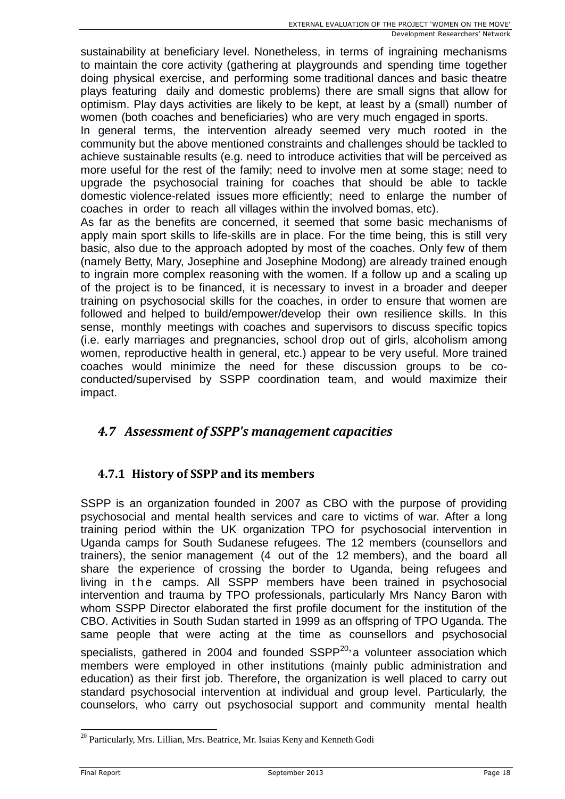sustainability at beneficiary level. Nonetheless, in terms of ingraining mechanisms to maintain the core activity (gathering at playgrounds and spending time together doing physical exercise, and performing some traditional dances and basic theatre plays featuring daily and domestic problems) there are small signs that allow for optimism. Play days activities are likely to be kept, at least by a (small) number of women (both coaches and beneficiaries) who are very much engaged in sports.

In general terms, the intervention already seemed very much rooted in the community but the above mentioned constraints and challenges should be tackled to achieve sustainable results (e.g. need to introduce activities that will be perceived as more useful for the rest of the family; need to involve men at some stage; need to upgrade the psychosocial training for coaches that should be able to tackle domestic violence-related issues more efficiently; need to enlarge the number of coaches in order to reach all villages within the involved bomas, etc).

As far as the benefits are concerned, it seemed that some basic mechanisms of apply main sport skills to life-skills are in place. For the time being, this is still very basic, also due to the approach adopted by most of the coaches. Only few of them (namely Betty, Mary, Josephine and Josephine Modong) are already trained enough to ingrain more complex reasoning with the women. If a follow up and a scaling up of the project is to be financed, it is necessary to invest in a broader and deeper training on psychosocial skills for the coaches, in order to ensure that women are followed and helped to build/empower/develop their own resilience skills. In this sense, monthly meetings with coaches and supervisors to discuss specific topics (i.e. early marriages and pregnancies, school drop out of girls, alcoholism among women, reproductive health in general, etc.) appear to be very useful. More trained coaches would minimize the need for these discussion groups to be coconducted/supervised by SSPP coordination team, and would maximize their impact.

#### *4.7 Assessment of SSPP's management capacities*

#### **4.7.1 History of SSPP and its members**

SSPP is an organization founded in 2007 as CBO with the purpose of providing psychosocial and mental health services and care to victims of war. After a long training period within the UK organization TPO for psychosocial intervention in Uganda camps for South Sudanese refugees. The 12 members (counsellors and trainers), the senior management (4 out of the 12 members), and the board all share the experience of crossing the border to Uganda, being refugees and living in the camps. All SSPP members have been trained in psychosocial intervention and trauma by TPO professionals, particularly Mrs Nancy Baron with whom SSPP Director elaborated the first profile document for the institution of the CBO. Activities in South Sudan started in 1999 as an offspring of TPO Uganda. The same people that were acting at the time as counsellors and psychosocial specialists, gathered in 2004 and founded SSPP<sup>20,</sup> a volunteer association which members were employed in other institutions (mainly public administration and education) as their first job. Therefore, the organization is well placed to carry out standard psychosocial intervention at individual and group level. Particularly, the counselors, who carry out psychosocial support and community mental health

<sup>&</sup>lt;sup>20</sup> Particularly, Mrs. Lillian, Mrs. Beatrice, Mr. Isaias Keny and Kenneth Godi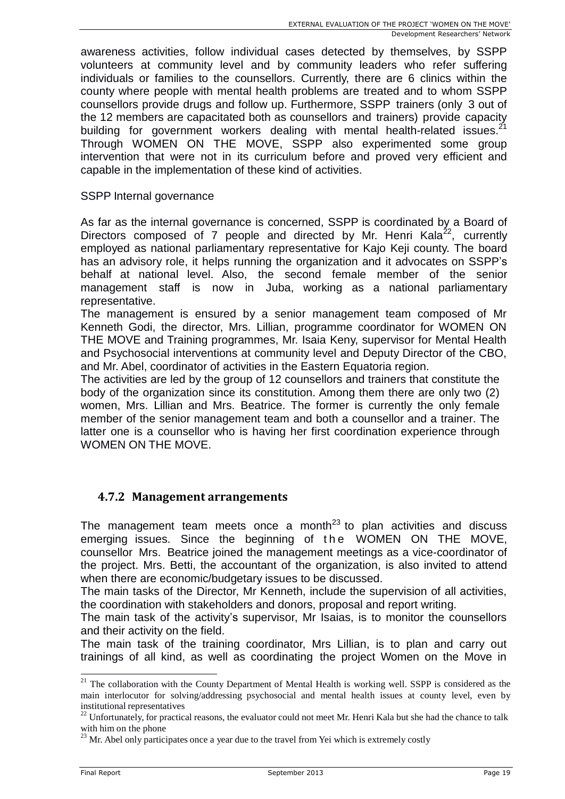awareness activities, follow individual cases detected by themselves, by SSPP volunteers at community level and by community leaders who refer suffering individuals or families to the counsellors. Currently, there are 6 clinics within the county where people with mental health problems are treated and to whom SSPP counsellors provide drugs and follow up. Furthermore, SSPP trainers (only 3 out of the 12 members are capacitated both as counsellors and trainers) provide capacity building for government workers dealing with mental health-related issues.<sup>21</sup> Through WOMEN ON THE MOVE, SSPP also experimented some group intervention that were not in its curriculum before and proved very efficient and capable in the implementation of these kind of activities.

#### SSPP Internal governance

As far as the internal governance is concerned, SSPP is coordinated by a Board of Directors composed of 7 people and directed by Mr. Henri Kala<sup>22</sup>, currently employed as national parliamentary representative for Kajo Keji county. The board has an advisory role, it helps running the organization and it advocates on SSPP's behalf at national level. Also, the second female member of the senior management staff is now in Juba, working as a national parliamentary representative.

The management is ensured by a senior management team composed of Mr Kenneth Godi, the director, Mrs. Lillian, programme coordinator for WOMEN ON THE MOVE and Training programmes, Mr. Isaia Keny, supervisor for Mental Health and Psychosocial interventions at community level and Deputy Director of the CBO, and Mr. Abel, coordinator of activities in the Eastern Equatoria region.

The activities are led by the group of 12 counsellors and trainers that constitute the body of the organization since its constitution. Among them there are only two (2) women, Mrs. Lillian and Mrs. Beatrice. The former is currently the only female member of the senior management team and both a counsellor and a trainer. The latter one is a counsellor who is having her first coordination experience through WOMEN ON THE MOVE.

#### **4.7.2 Management arrangements**

The management team meets once a month<sup>23</sup> to plan activities and discuss emerging issues. Since the beginning of the WOMEN ON THE MOVE, counsellor Mrs. Beatrice joined the management meetings as a vice-coordinator of the project. Mrs. Betti, the accountant of the organization, is also invited to attend when there are economic/budgetary issues to be discussed.

The main tasks of the Director, Mr Kenneth, include the supervision of all activities, the coordination with stakeholders and donors, proposal and report writing.

The main task of the activity's supervisor, Mr Isaias, is to monitor the counsellors and their activity on the field.

The main task of the training coordinator, Mrs Lillian, is to plan and carry out trainings of all kind, as well as coordinating the project Women on the Move in

 $21$  The collaboration with the County Department of Mental Health is working well. SSPP is considered as the main interlocutor for solving/addressing psychosocial and mental health issues at county level, even by institutional representatives

<sup>22</sup> Unfortunately, for practical reasons, the evaluator could not meet Mr. Henri Kala but she had the chance to talk with him on the phone

 $23$  Mr. Abel only participates once a year due to the travel from Yei which is extremely costly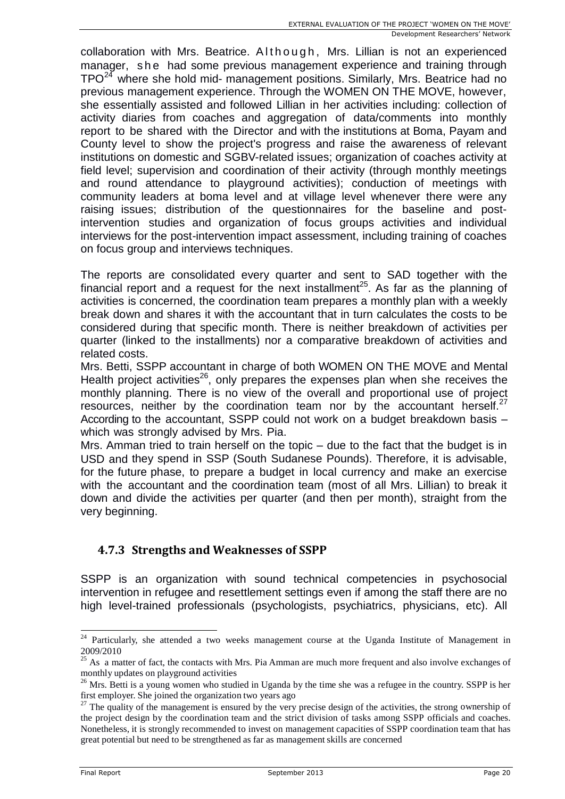collaboration with Mrs. Beatrice. Although, Mrs. Lillian is not an experienced manager, she had some previous management experience and training through TPO<sup>24</sup> where she hold mid- management positions. Similarly, Mrs. Beatrice had no previous management experience. Through the WOMEN ON THE MOVE, however, she essentially assisted and followed Lillian in her activities including: collection of activity diaries from coaches and aggregation of data/comments into monthly report to be shared with the Director and with the institutions at Boma, Payam and County level to show the project's progress and raise the awareness of relevant institutions on domestic and SGBV-related issues; organization of coaches activity at field level; supervision and coordination of their activity (through monthly meetings and round attendance to playground activities); conduction of meetings with community leaders at boma level and at village level whenever there were any raising issues; distribution of the questionnaires for the baseline and postintervention studies and organization of focus groups activities and individual interviews for the post-intervention impact assessment, including training of coaches on focus group and interviews techniques.

The reports are consolidated every quarter and sent to SAD together with the financial report and a request for the next installment<sup>25</sup>. As far as the planning of activities is concerned, the coordination team prepares a monthly plan with a weekly break down and shares it with the accountant that in turn calculates the costs to be considered during that specific month. There is neither breakdown of activities per quarter (linked to the installments) nor a comparative breakdown of activities and related costs.

Mrs. Betti, SSPP accountant in charge of both WOMEN ON THE MOVE and Mental Health project activities<sup>26</sup>, only prepares the expenses plan when she receives the monthly planning. There is no view of the overall and proportional use of project resources, neither by the coordination team nor by the accountant herself. $27$ According to the accountant, SSPP could not work on a budget breakdown basis – which was strongly advised by Mrs. Pia.

Mrs. Amman tried to train herself on the topic – due to the fact that the budget is in USD and they spend in SSP (South Sudanese Pounds). Therefore, it is advisable, for the future phase, to prepare a budget in local currency and make an exercise with the accountant and the coordination team (most of all Mrs. Lillian) to break it down and divide the activities per quarter (and then per month), straight from the very beginning.

#### **4.7.3 Strengths and Weaknesses of SSPP**

SSPP is an organization with sound technical competencies in psychosocial intervention in refugee and resettlement settings even if among the staff there are no high level-trained professionals (psychologists, psychiatrics, physicians, etc). All

<sup>-</sup><sup>24</sup> Particularly, she attended a two weeks management course at the Uganda Institute of Management in 2009/2010

<sup>&</sup>lt;sup>25</sup> As a matter of fact, the contacts with Mrs. Pia Amman are much more frequent and also involve exchanges of monthly updates on playground activities

<sup>&</sup>lt;sup>26</sup> Mrs. Betti is a young women who studied in Uganda by the time she was a refugee in the country. SSPP is her first employer. She joined the organization two years ago

 $27$  The quality of the management is ensured by the very precise design of the activities, the strong ownership of the project design by the coordination team and the strict division of tasks among SSPP officials and coaches. Nonetheless, it is strongly recommended to invest on management capacities of SSPP coordination team that has great potential but need to be strengthened as far as management skills are concerned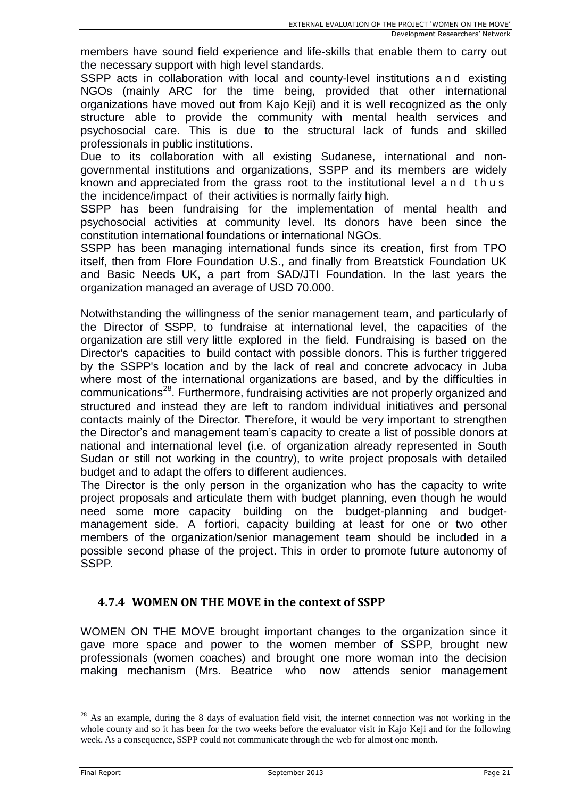members have sound field experience and life-skills that enable them to carry out the necessary support with high level standards.

SSPP acts in collaboration with local and county-level institutions and existing NGOs (mainly ARC for the time being, provided that other international organizations have moved out from Kajo Keji) and it is well recognized as the only structure able to provide the community with mental health services and psychosocial care. This is due to the structural lack of funds and skilled professionals in public institutions.

Due to its collaboration with all existing Sudanese, international and nongovernmental institutions and organizations, SSPP and its members are widely known and appreciated from the grass root to the institutional level and t hus the incidence/impact of their activities is normally fairly high.

SSPP has been fundraising for the implementation of mental health and psychosocial activities at community level. Its donors have been since the constitution international foundations or international NGOs.

SSPP has been managing international funds since its creation, first from TPO itself, then from Flore Foundation U.S., and finally from Breatstick Foundation UK and Basic Needs UK, a part from SAD/JTI Foundation. In the last years the organization managed an average of USD 70.000.

Notwithstanding the willingness of the senior management team, and particularly of the Director of SSPP, to fundraise at international level, the capacities of the organization are still very little explored in the field. Fundraising is based on the Director's capacities to build contact with possible donors. This is further triggered by the SSPP's location and by the lack of real and concrete advocacy in Juba where most of the international organizations are based, and by the difficulties in communications<sup>28</sup>. Furthermore, fundraising activities are not properly organized and structured and instead they are left to random individual initiatives and personal contacts mainly of the Director. Therefore, it would be very important to strengthen the Director's and management team's capacity to create a list of possible donors at national and international level (i.e. of organization already represented in South Sudan or still not working in the country), to write project proposals with detailed budget and to adapt the offers to different audiences.

The Director is the only person in the organization who has the capacity to write project proposals and articulate them with budget planning, even though he would need some more capacity building on the budget-planning and budgetmanagement side. A fortiori, capacity building at least for one or two other members of the organization/senior management team should be included in a possible second phase of the project. This in order to promote future autonomy of SSPP.

#### **4.7.4 WOMEN ON THE MOVE in the context of SSPP**

WOMEN ON THE MOVE brought important changes to the organization since it gave more space and power to the women member of SSPP, brought new professionals (women coaches) and brought one more woman into the decision making mechanism (Mrs. Beatrice who now attends senior management

 $28$  As an example, during the 8 days of evaluation field visit, the internet connection was not working in the whole county and so it has been for the two weeks before the evaluator visit in Kajo Keji and for the following week. As a consequence, SSPP could not communicate through the web for almost one month.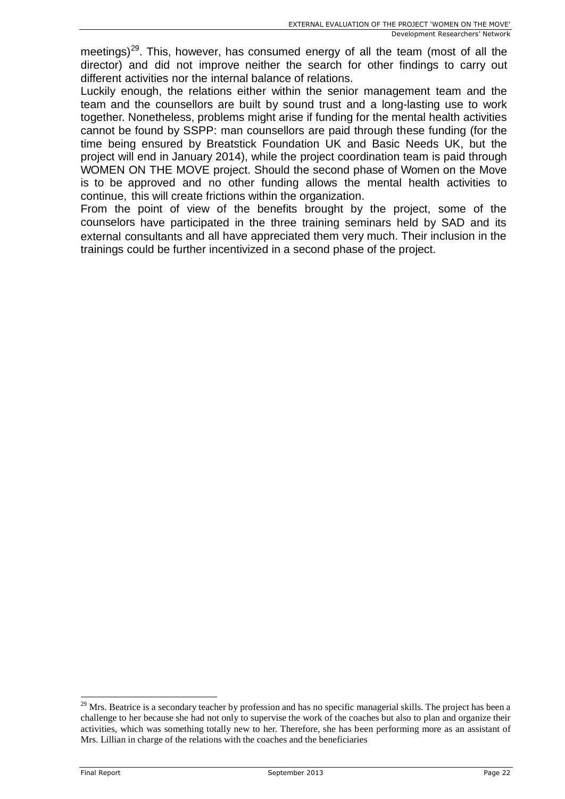meetings)<sup>29</sup>. This, however, has consumed energy of all the team (most of all the director) and did not improve neither the search for other findings to carry out different activities nor the internal balance of relations.

Luckily enough, the relations either within the senior management team and the team and the counsellors are built by sound trust and a long-lasting use to work together. Nonetheless, problems might arise if funding for the mental health activities cannot be found by SSPP: man counsellors are paid through these funding (for the time being ensured by Breatstick Foundation UK and Basic Needs UK, but the project will end in January 2014), while the project coordination team is paid through WOMEN ON THE MOVE project. Should the second phase of Women on the Move is to be approved and no other funding allows the mental health activities to continue, this will create frictions within the organization.

From the point of view of the benefits brought by the project, some of the counselors have participated in the three training seminars held by SAD and its external consultants and all have appreciated them very much. Their inclusion in the trainings could be further incentivized in a second phase of the project.

 $29$  Mrs. Beatrice is a secondary teacher by profession and has no specific managerial skills. The project has been a challenge to her because she had not only to supervise the work of the coaches but also to plan and organize their activities, which was something totally new to her. Therefore, she has been performing more as an assistant of Mrs. Lillian in charge of the relations with the coaches and the beneficiaries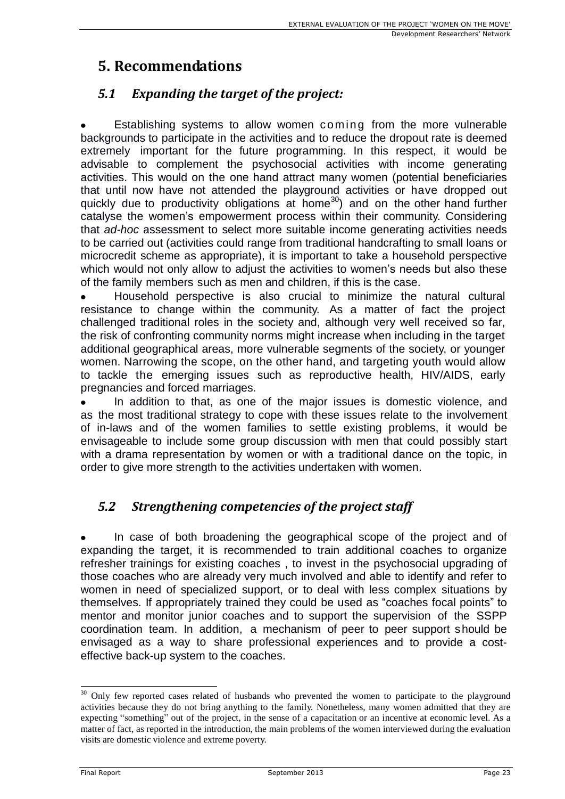## **5. Recommendations**

## *5.1 Expanding the target of the project:*

Establishing systems to allow women coming from the more vulnerable backgrounds to participate in the activities and to reduce the dropout rate is deemed extremely important for the future programming. In this respect, it would be advisable to complement the psychosocial activities with income generating activities. This would on the one hand attract many women (potential beneficiaries that until now have not attended the playground activities or have dropped out quickly due to productivity obligations at home<sup>30</sup>) and on the other hand further catalyse the women's empowerment process within their community. Considering that *ad-hoc* assessment to select more suitable income generating activities needs to be carried out (activities could range from traditional handcrafting to small loans or microcredit scheme as appropriate), it is important to take a household perspective which would not only allow to adjust the activities to women's needs but also these of the family members such as men and children, if this is the case.

Household perspective is also crucial to minimize the natural cultural resistance to change within the community. As a matter of fact the project challenged traditional roles in the society and, although very well received so far, the risk of confronting community norms might increase when including in the target additional geographical areas, more vulnerable segments of the society, or younger women. Narrowing the scope, on the other hand, and targeting youth would allow to tackle the emerging issues such as reproductive health, HIV/AIDS, early pregnancies and forced marriages.

In addition to that, as one of the major issues is domestic violence, and as the most traditional strategy to cope with these issues relate to the involvement of in-laws and of the women families to settle existing problems, it would be envisageable to include some group discussion with men that could possibly start with a drama representation by women or with a traditional dance on the topic, in order to give more strength to the activities undertaken with women.

## *5.2 Strengthening competencies of the project staff*

In case of both broadening the geographical scope of the project and of expanding the target, it is recommended to train additional coaches to organize refresher trainings for existing coaches , to invest in the psychosocial upgrading of those coaches who are already very much involved and able to identify and refer to women in need of specialized support, or to deal with less complex situations by themselves. If appropriately trained they could be used as "coaches focal points" to mentor and monitor junior coaches and to support the supervision of the SSPP coordination team. In addition, a mechanism of peer to peer support should be envisaged as a way to share professional experiences and to provide a costeffective back-up system to the coaches.

<sup>&</sup>lt;sup>30</sup> Only few reported cases related of husbands who prevented the women to participate to the playground activities because they do not bring anything to the family. Nonetheless, many women admitted that they are expecting "something" out of the project, in the sense of a capacitation or an incentive at economic level. As a matter of fact, as reported in the introduction, the main problems of the women interviewed during the evaluation visits are domestic violence and extreme poverty.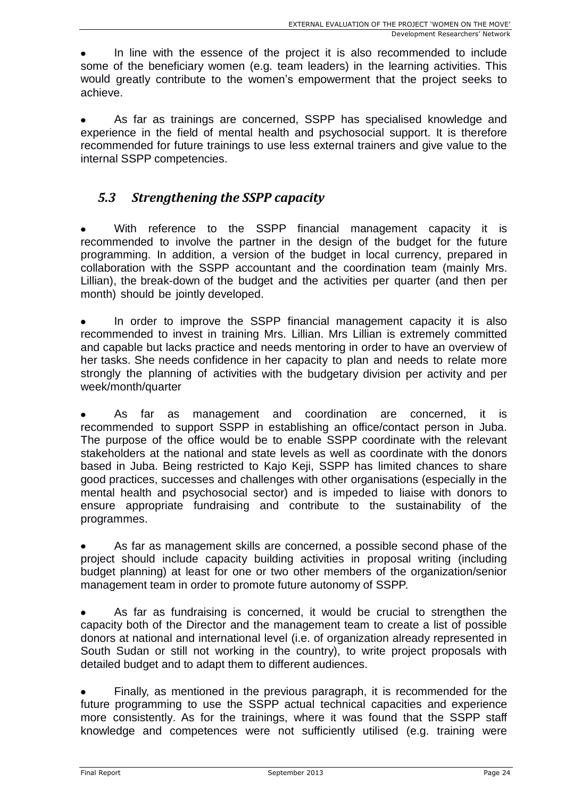In line with the essence of the project it is also recommended to include some of the beneficiary women (e.g. team leaders) in the learning activities. This would greatly contribute to the women's empowerment that the project seeks to achieve.

As far as trainings are concerned, SSPP has specialised knowledge and experience in the field of mental health and psychosocial support. It is therefore recommended for future trainings to use less external trainers and give value to the internal SSPP competencies.

### *5.3 Strengthening the SSPP capacity*

With reference to the SSPP financial management capacity it is recommended to involve the partner in the design of the budget for the future programming. In addition, a version of the budget in local currency, prepared in collaboration with the SSPP accountant and the coordination team (mainly Mrs. Lillian), the break-down of the budget and the activities per quarter (and then per month) should be jointly developed.

In order to improve the SSPP financial management capacity it is also recommended to invest in training Mrs. Lillian. Mrs Lillian is extremely committed and capable but lacks practice and needs mentoring in order to have an overview of her tasks. She needs confidence in her capacity to plan and needs to relate more strongly the planning of activities with the budgetary division per activity and per week/month/quarter

As far as management and coordination are concerned, it is recommended to support SSPP in establishing an office/contact person in Juba. The purpose of the office would be to enable SSPP coordinate with the relevant stakeholders at the national and state levels as well as coordinate with the donors based in Juba. Being restricted to Kajo Keji, SSPP has limited chances to share good practices, successes and challenges with other organisations (especially in the mental health and psychosocial sector) and is impeded to liaise with donors to ensure appropriate fundraising and contribute to the sustainability of the programmes.

As far as management skills are concerned, a possible second phase of the project should include capacity building activities in proposal writing (including budget planning) at least for one or two other members of the organization/senior management team in order to promote future autonomy of SSPP.

As far as fundraising is concerned, it would be crucial to strengthen the capacity both of the Director and the management team to create a list of possible donors at national and international level (i.e. of organization already represented in South Sudan or still not working in the country), to write project proposals with detailed budget and to adapt them to different audiences.

Finally, as mentioned in the previous paragraph, it is recommended for the future programming to use the SSPP actual technical capacities and experience more consistently. As for the trainings, where it was found that the SSPP staff knowledge and competences were not sufficiently utilised (e.g. training were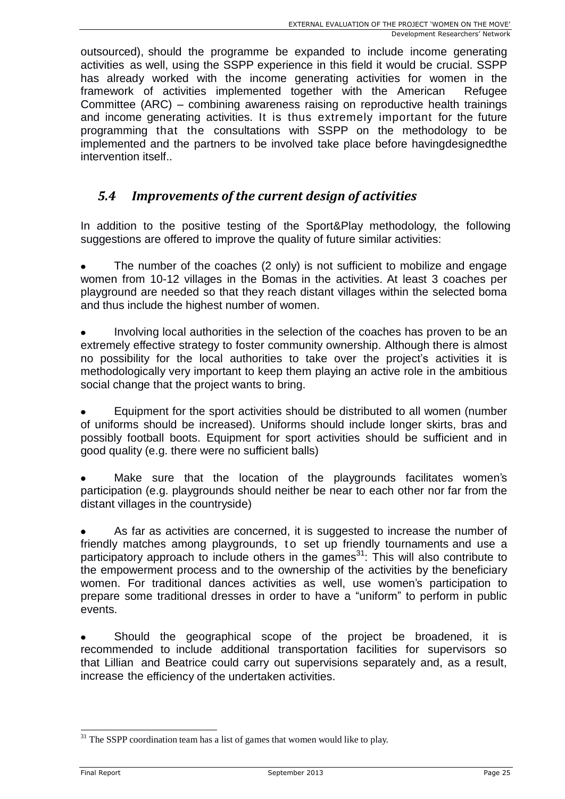outsourced), should the programme be expanded to include income generating activities as well, using the SSPP experience in this field it would be crucial. SSPP has already worked with the income generating activities for women in the framework of activities implemented together with the American Refugee Committee (ARC) – combining awareness raising on reproductive health trainings and income generating activities. It is thus extremely important for the future programming that the consultations with SSPP on the methodology to be implemented and the partners to be involved take place before havingdesignedthe intervention itself..

### *5.4 Improvements of the current design of activities*

In addition to the positive testing of the Sport&Play methodology, the following suggestions are offered to improve the quality of future similar activities:

The number of the coaches (2 only) is not sufficient to mobilize and engage women from 10-12 villages in the Bomas in the activities. At least 3 coaches per playground are needed so that they reach distant villages within the selected boma and thus include the highest number of women.

Involving local authorities in the selection of the coaches has proven to be an extremely effective strategy to foster community ownership. Although there is almost no possibility for the local authorities to take over the project's activities it is methodologically very important to keep them playing an active role in the ambitious social change that the project wants to bring.

Equipment for the sport activities should be distributed to all women (number of uniforms should be increased). Uniforms should include longer skirts, bras and possibly football boots. Equipment for sport activities should be sufficient and in good quality (e.g. there were no sufficient balls)

Make sure that the location of the playgrounds facilitates women's participation (e.g. playgrounds should neither be near to each other nor far from the distant villages in the countryside)

As far as activities are concerned, it is suggested to increase the number of friendly matches among playgrounds, to set up friendly tournaments and use a participatory approach to include others in the games<sup>31</sup>: This will also contribute to the empowerment process and to the ownership of the activities by the beneficiary women. For traditional dances activities as well, use women's participation to prepare some traditional dresses in order to have a "uniform" to perform in public events.

Should the geographical scope of the project be broadened, it is recommended to include additional transportation facilities for supervisors so that Lillian and Beatrice could carry out supervisions separately and, as a result, increase the efficiency of the undertaken activities.

 $31$  The SSPP coordination team has a list of games that women would like to play.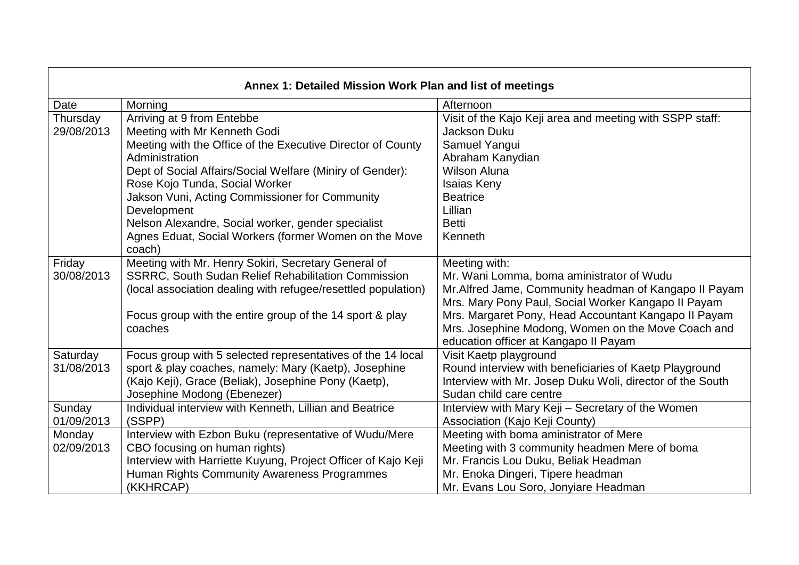| Annex 1: Detailed Mission Work Plan and list of meetings |                                                                     |                                                                                                             |  |  |  |  |
|----------------------------------------------------------|---------------------------------------------------------------------|-------------------------------------------------------------------------------------------------------------|--|--|--|--|
| Date                                                     | Morning                                                             | Afternoon                                                                                                   |  |  |  |  |
| Thursday                                                 | Arriving at 9 from Entebbe                                          | Visit of the Kajo Keji area and meeting with SSPP staff:                                                    |  |  |  |  |
| 29/08/2013                                               | Meeting with Mr Kenneth Godi                                        | <b>Jackson Duku</b>                                                                                         |  |  |  |  |
|                                                          | Meeting with the Office of the Executive Director of County         | Samuel Yangui                                                                                               |  |  |  |  |
|                                                          | Administration                                                      | Abraham Kanydian                                                                                            |  |  |  |  |
|                                                          | Dept of Social Affairs/Social Welfare (Miniry of Gender):           | <b>Wilson Aluna</b>                                                                                         |  |  |  |  |
|                                                          | Rose Kojo Tunda, Social Worker                                      | <b>Isaias Keny</b>                                                                                          |  |  |  |  |
|                                                          | Jakson Vuni, Acting Commissioner for Community                      | <b>Beatrice</b>                                                                                             |  |  |  |  |
|                                                          | Development                                                         | Lillian                                                                                                     |  |  |  |  |
|                                                          | Nelson Alexandre, Social worker, gender specialist                  | <b>Betti</b>                                                                                                |  |  |  |  |
|                                                          | Agnes Eduat, Social Workers (former Women on the Move<br>coach)     | Kenneth                                                                                                     |  |  |  |  |
| Friday                                                   | Meeting with Mr. Henry Sokiri, Secretary General of                 | Meeting with:                                                                                               |  |  |  |  |
| 30/08/2013                                               | <b>SSRRC, South Sudan Relief Rehabilitation Commission</b>          | Mr. Wani Lomma, boma aministrator of Wudu                                                                   |  |  |  |  |
|                                                          | (local association dealing with refugee/resettled population)       | Mr.Alfred Jame, Community headman of Kangapo II Payam                                                       |  |  |  |  |
|                                                          |                                                                     | Mrs. Mary Pony Paul, Social Worker Kangapo II Payam<br>Mrs. Margaret Pony, Head Accountant Kangapo II Payam |  |  |  |  |
|                                                          | Focus group with the entire group of the 14 sport & play<br>coaches | Mrs. Josephine Modong, Women on the Move Coach and                                                          |  |  |  |  |
|                                                          |                                                                     | education officer at Kangapo II Payam                                                                       |  |  |  |  |
| Saturday                                                 | Focus group with 5 selected representatives of the 14 local         | Visit Kaetp playground                                                                                      |  |  |  |  |
| 31/08/2013                                               | sport & play coaches, namely: Mary (Kaetp), Josephine               | Round interview with beneficiaries of Kaetp Playground                                                      |  |  |  |  |
|                                                          | (Kajo Keji), Grace (Beliak), Josephine Pony (Kaetp),                | Interview with Mr. Josep Duku Woli, director of the South                                                   |  |  |  |  |
|                                                          | Josephine Modong (Ebenezer)                                         | Sudan child care centre                                                                                     |  |  |  |  |
| Sunday                                                   | Individual interview with Kenneth, Lillian and Beatrice             | Interview with Mary Keji - Secretary of the Women                                                           |  |  |  |  |
| 01/09/2013                                               | (SSPP)                                                              | Association (Kajo Keji County)                                                                              |  |  |  |  |
| Monday                                                   | Interview with Ezbon Buku (representative of Wudu/Mere              | Meeting with boma aministrator of Mere                                                                      |  |  |  |  |
| 02/09/2013                                               | CBO focusing on human rights)                                       | Meeting with 3 community headmen Mere of boma                                                               |  |  |  |  |
|                                                          | Interview with Harriette Kuyung, Project Officer of Kajo Keji       | Mr. Francis Lou Duku, Beliak Headman                                                                        |  |  |  |  |
|                                                          | Human Rights Community Awareness Programmes                         | Mr. Enoka Dingeri, Tipere headman                                                                           |  |  |  |  |
|                                                          | (KKHRCAP)                                                           | Mr. Evans Lou Soro, Jonyiare Headman                                                                        |  |  |  |  |